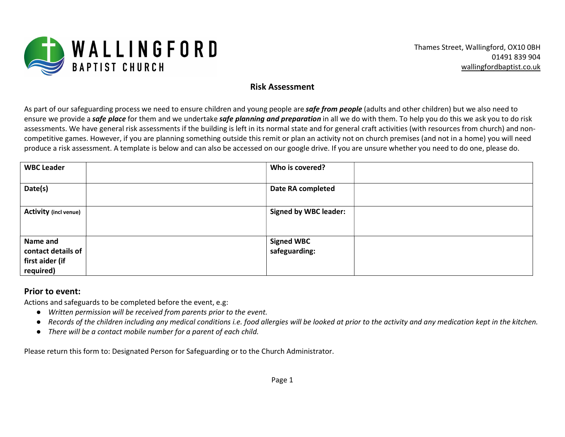

## Risk Assessment

As part of our safeguarding process we need to ensure children and young people are *safe from people* (adults and other children) but we also need to ensure we provide a safe place for them and we undertake safe planning and preparation in all we do with them. To help you do this we ask you to do risk assessments. We have general risk assessments if the building is left in its normal state and for general craft activities (with resources from church) and noncompetitive games. However, if you are planning something outside this remit or plan an activity not on church premises (and not in a home) you will need produce a risk assessment. A template is below and can also be accessed on our google drive. If you are unsure whether you need to do one, please do.

| <b>WBC Leader</b>            | Who is covered?              |
|------------------------------|------------------------------|
| Date(s)                      | Date RA completed            |
| <b>Activity (incl venue)</b> | <b>Signed by WBC leader:</b> |
| Name and                     | <b>Signed WBC</b>            |
| contact details of           | safeguarding:                |
| first aider (if              |                              |
| required)                    |                              |

## Prior to event:

Actions and safeguards to be completed before the event, e.g:

- Written permission will be received from parents prior to the event.
- Records of the children including any medical conditions i.e. food allergies will be looked at prior to the activity and any medication kept in the kitchen.
- There will be a contact mobile number for a parent of each child.

Please return this form to: Designated Person for Safeguarding or to the Church Administrator.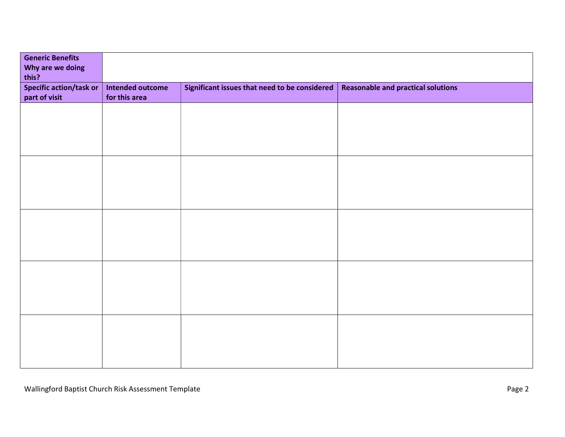| <b>Generic Benefits</b><br>Why are we doing<br>this? |                                          |                                               |                                           |
|------------------------------------------------------|------------------------------------------|-----------------------------------------------|-------------------------------------------|
| <b>Specific action/task or</b><br>part of visit      | <b>Intended outcome</b><br>for this area | Significant issues that need to be considered | <b>Reasonable and practical solutions</b> |
|                                                      |                                          |                                               |                                           |
|                                                      |                                          |                                               |                                           |
|                                                      |                                          |                                               |                                           |
|                                                      |                                          |                                               |                                           |
|                                                      |                                          |                                               |                                           |
|                                                      |                                          |                                               |                                           |
|                                                      |                                          |                                               |                                           |
|                                                      |                                          |                                               |                                           |
|                                                      |                                          |                                               |                                           |
|                                                      |                                          |                                               |                                           |
|                                                      |                                          |                                               |                                           |
|                                                      |                                          |                                               |                                           |
|                                                      |                                          |                                               |                                           |